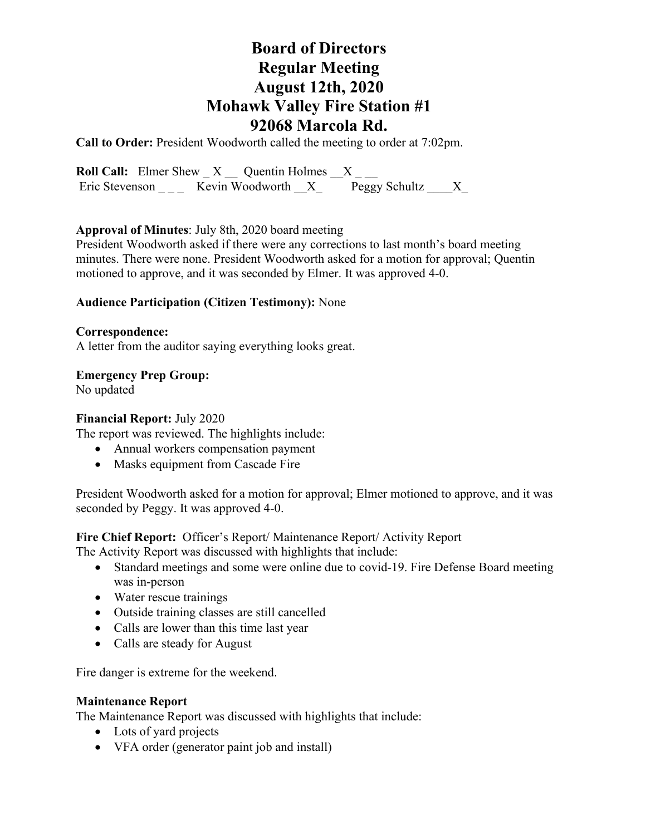# **Board of Directors Regular Meeting August 12th, 2020 Mohawk Valley Fire Station #1 92068 Marcola Rd.**

**Call to Order:** President Woodworth called the meeting to order at 7:02pm.

**Roll Call:** Elmer Shew  $X$   $\_\_$  Quentin Holmes  $X$   $\_\_$ Eric Stevenson \_ \_ \_ Kevin Woodworth  $X_$  Peggy Schultz  $X_$ 

### **Approval of Minutes**: July 8th, 2020 board meeting

President Woodworth asked if there were any corrections to last month's board meeting minutes. There were none. President Woodworth asked for a motion for approval; Quentin motioned to approve, and it was seconded by Elmer. It was approved 4-0.

### **Audience Participation (Citizen Testimony):** None

### **Correspondence:**

A letter from the auditor saying everything looks great.

### **Emergency Prep Group:**

No updated

#### **Financial Report:** July 2020

The report was reviewed. The highlights include:

- Annual workers compensation payment
- Masks equipment from Cascade Fire

President Woodworth asked for a motion for approval; Elmer motioned to approve, and it was seconded by Peggy. It was approved 4-0.

## **Fire Chief Report:** Officer's Report/ Maintenance Report/ Activity Report

The Activity Report was discussed with highlights that include:

- Standard meetings and some were online due to covid-19. Fire Defense Board meeting was in-person
- Water rescue trainings
- Outside training classes are still cancelled
- Calls are lower than this time last year
- Calls are steady for August

Fire danger is extreme for the weekend.

### **Maintenance Report**

The Maintenance Report was discussed with highlights that include:

- Lots of yard projects
- VFA order (generator paint job and install)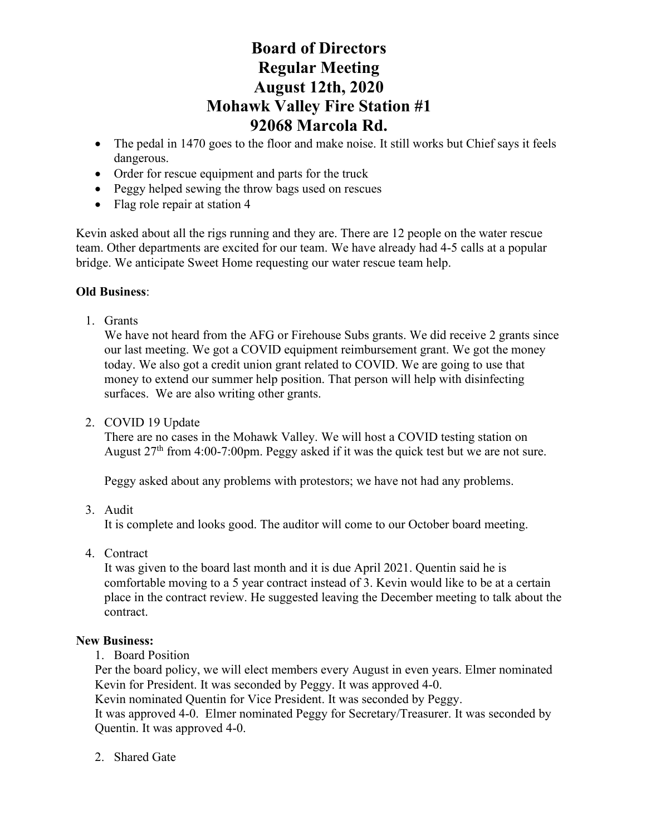# **Board of Directors Regular Meeting August 12th, 2020 Mohawk Valley Fire Station #1 92068 Marcola Rd.**

- The pedal in 1470 goes to the floor and make noise. It still works but Chief says it feels dangerous.
- Order for rescue equipment and parts for the truck
- Peggy helped sewing the throw bags used on rescues
- Flag role repair at station 4

Kevin asked about all the rigs running and they are. There are 12 people on the water rescue team. Other departments are excited for our team. We have already had 4-5 calls at a popular bridge. We anticipate Sweet Home requesting our water rescue team help.

## **Old Business**:

1. Grants

We have not heard from the AFG or Firehouse Subs grants. We did receive 2 grants since our last meeting. We got a COVID equipment reimbursement grant. We got the money today. We also got a credit union grant related to COVID. We are going to use that money to extend our summer help position. That person will help with disinfecting surfaces. We are also writing other grants.

2. COVID 19 Update

There are no cases in the Mohawk Valley. We will host a COVID testing station on August 27<sup>th</sup> from 4:00-7:00pm. Peggy asked if it was the quick test but we are not sure.

Peggy asked about any problems with protestors; we have not had any problems.

3. Audit

It is complete and looks good. The auditor will come to our October board meeting.

4. Contract

It was given to the board last month and it is due April 2021. Quentin said he is comfortable moving to a 5 year contract instead of 3. Kevin would like to be at a certain place in the contract review. He suggested leaving the December meeting to talk about the contract.

## **New Business:**

1. Board Position

Per the board policy, we will elect members every August in even years. Elmer nominated Kevin for President. It was seconded by Peggy. It was approved 4-0.

Kevin nominated Quentin for Vice President. It was seconded by Peggy.

It was approved 4-0. Elmer nominated Peggy for Secretary/Treasurer. It was seconded by Quentin. It was approved 4-0.

2. Shared Gate